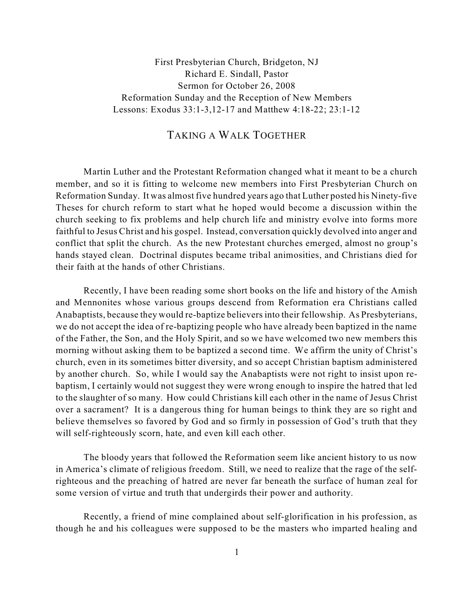First Presbyterian Church, Bridgeton, NJ Richard E. Sindall, Pastor Sermon for October 26, 2008 Reformation Sunday and the Reception of New Members Lessons: Exodus 33:1-3,12-17 and Matthew 4:18-22; 23:1-12

## TAKING A WALK TOGETHER

Martin Luther and the Protestant Reformation changed what it meant to be a church member, and so it is fitting to welcome new members into First Presbyterian Church on Reformation Sunday. It was almost five hundred years ago that Luther posted his Ninety-five Theses for church reform to start what he hoped would become a discussion within the church seeking to fix problems and help church life and ministry evolve into forms more faithful to Jesus Christ and his gospel. Instead, conversation quickly devolved into anger and conflict that split the church. As the new Protestant churches emerged, almost no group's hands stayed clean. Doctrinal disputes became tribal animosities, and Christians died for their faith at the hands of other Christians.

Recently, I have been reading some short books on the life and history of the Amish and Mennonites whose various groups descend from Reformation era Christians called Anabaptists, because they would re-baptize believersinto their fellowship. As Presbyterians, we do not accept the idea of re-baptizing people who have already been baptized in the name of the Father, the Son, and the Holy Spirit, and so we have welcomed two new members this morning without asking them to be baptized a second time. We affirm the unity of Christ's church, even in its sometimes bitter diversity, and so accept Christian baptism administered by another church. So, while I would say the Anabaptists were not right to insist upon rebaptism, I certainly would not suggest they were wrong enough to inspire the hatred that led to the slaughter of so many. How could Christians kill each other in the name of Jesus Christ over a sacrament? It is a dangerous thing for human beings to think they are so right and believe themselves so favored by God and so firmly in possession of God's truth that they will self-righteously scorn, hate, and even kill each other.

The bloody years that followed the Reformation seem like ancient history to us now in America's climate of religious freedom. Still, we need to realize that the rage of the selfrighteous and the preaching of hatred are never far beneath the surface of human zeal for some version of virtue and truth that undergirds their power and authority.

Recently, a friend of mine complained about self-glorification in his profession, as though he and his colleagues were supposed to be the masters who imparted healing and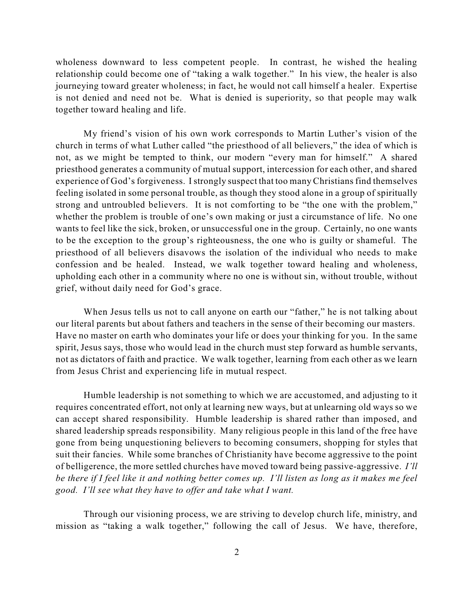wholeness downward to less competent people. In contrast, he wished the healing relationship could become one of "taking a walk together." In his view, the healer is also journeying toward greater wholeness; in fact, he would not call himself a healer. Expertise is not denied and need not be. What is denied is superiority, so that people may walk together toward healing and life.

My friend's vision of his own work corresponds to Martin Luther's vision of the church in terms of what Luther called "the priesthood of all believers," the idea of which is not, as we might be tempted to think, our modern "every man for himself." A shared priesthood generates a community of mutual support, intercession for each other, and shared experience of God's forgiveness. I strongly suspect that too many Christians find themselves feeling isolated in some personal trouble, as though they stood alone in a group of spiritually strong and untroubled believers. It is not comforting to be "the one with the problem," whether the problem is trouble of one's own making or just a circumstance of life. No one wants to feel like the sick, broken, or unsuccessful one in the group. Certainly, no one wants to be the exception to the group's righteousness, the one who is guilty or shameful. The priesthood of all believers disavows the isolation of the individual who needs to make confession and be healed. Instead, we walk together toward healing and wholeness, upholding each other in a community where no one is without sin, without trouble, without grief, without daily need for God's grace.

When Jesus tells us not to call anyone on earth our "father," he is not talking about our literal parents but about fathers and teachers in the sense of their becoming our masters. Have no master on earth who dominates your life or does your thinking for you. In the same spirit, Jesus says, those who would lead in the church must step forward as humble servants, not as dictators of faith and practice. We walk together, learning from each other as we learn from Jesus Christ and experiencing life in mutual respect.

Humble leadership is not something to which we are accustomed, and adjusting to it requires concentrated effort, not only at learning new ways, but at unlearning old ways so we can accept shared responsibility. Humble leadership is shared rather than imposed, and shared leadership spreads responsibility. Many religious people in this land of the free have gone from being unquestioning believers to becoming consumers, shopping for styles that suit their fancies. While some branches of Christianity have become aggressive to the point of belligerence, the more settled churches have moved toward being passive-aggressive. *I'll* be there if I feel like it and nothing better comes up. I'll listen as long as it makes me feel *good. I'll see what they have to offer and take what I want.*

Through our visioning process, we are striving to develop church life, ministry, and mission as "taking a walk together," following the call of Jesus. We have, therefore,